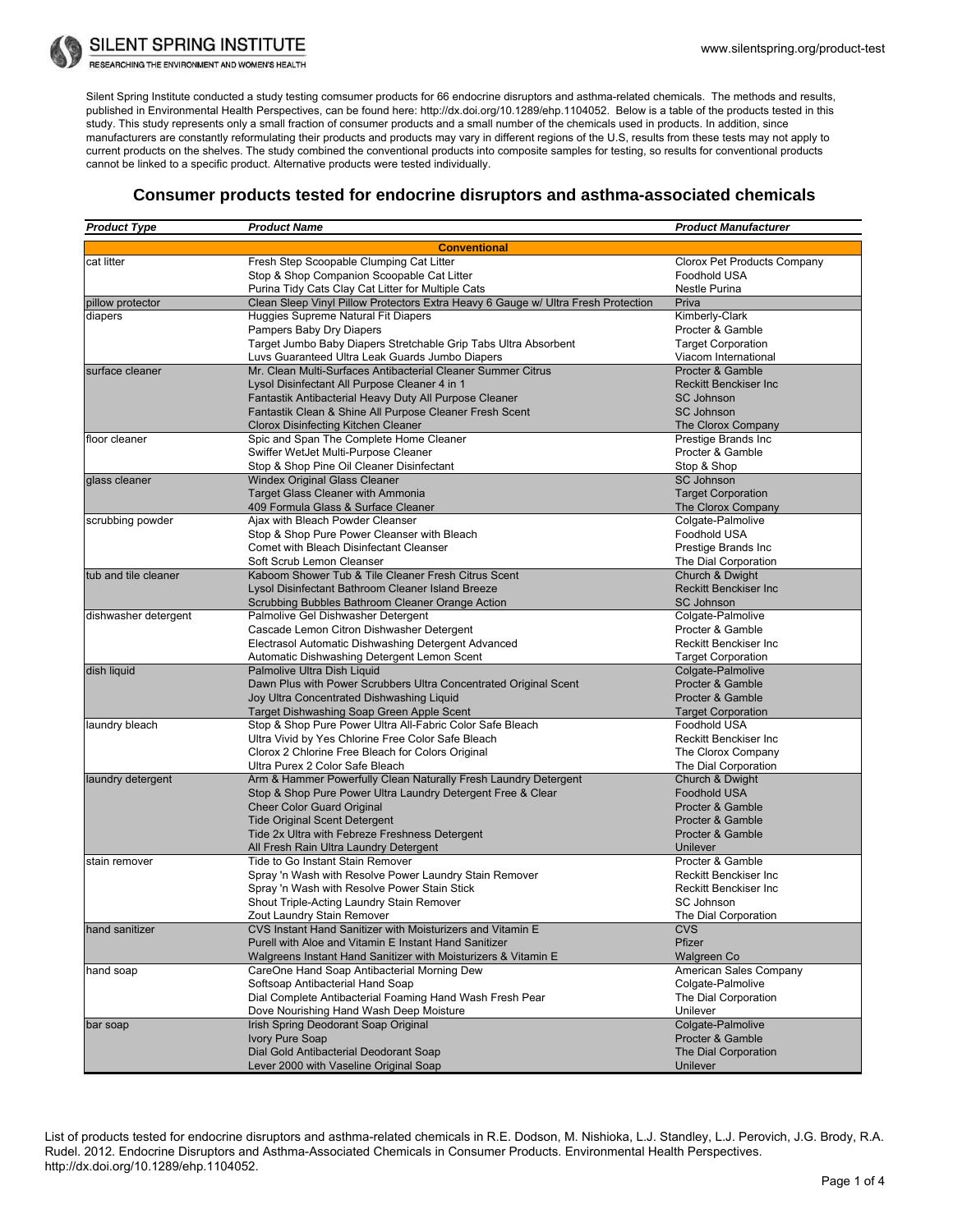

**SILENT SPRING INSTITUTE** 

RESEARCHING THE ENVIRONMENT AND WOMEN'S HEALTH

Silent Spring Institute conducted a study testing comsumer products for 66 endocrine disruptors and asthma-related chemicals. The methods and results, published in Environmental Health Perspectives, can be found here: http://dx.doi.org/10.1289/ehp.1104052. Below is a table of the products tested in this study. This study represents only a small fraction of consumer products and a small number of the chemicals used in products. In addition, since manufacturers are constantly reformulating their products and products may vary in different regions of the U.S, results from these tests may not apply to current products on the shelves. The study combined the conventional products into composite samples for testing, so results for conventional products cannot be linked to a specific product. Alternative products were tested individually.

## **Consumer products tested for endocrine disruptors and asthma-associated chemicals**

| <b>Product Type</b>  | <b>Product Name</b>                                                                                 | <b>Product Manufacturer</b>                 |
|----------------------|-----------------------------------------------------------------------------------------------------|---------------------------------------------|
|                      | <b>Conventional</b>                                                                                 |                                             |
| cat litter           | Fresh Step Scoopable Clumping Cat Litter                                                            | Clorox Pet Products Company                 |
|                      | Stop & Shop Companion Scoopable Cat Litter                                                          | Foodhold USA                                |
|                      | Purina Tidy Cats Clay Cat Litter for Multiple Cats                                                  | Nestle Purina                               |
| pillow protector     | Clean Sleep Vinyl Pillow Protectors Extra Heavy 6 Gauge w/ Ultra Fresh Protection                   | Priva                                       |
| diapers              | Huggies Supreme Natural Fit Diapers                                                                 | Kimberly-Clark                              |
|                      | Pampers Baby Dry Diapers                                                                            | Procter & Gamble                            |
|                      | Target Jumbo Baby Diapers Stretchable Grip Tabs Ultra Absorbent                                     | <b>Target Corporation</b>                   |
|                      | Luvs Guaranteed Ultra Leak Guards Jumbo Diapers                                                     | Viacom International                        |
| surface cleaner      | Mr. Clean Multi-Surfaces Antibacterial Cleaner Summer Citrus                                        | Procter & Gamble                            |
|                      | Lysol Disinfectant All Purpose Cleaner 4 in 1                                                       | <b>Reckitt Benckiser Inc.</b>               |
|                      | Fantastik Antibacterial Heavy Duty All Purpose Cleaner                                              | <b>SC Johnson</b>                           |
|                      | Fantastik Clean & Shine All Purpose Cleaner Fresh Scent                                             | <b>SC Johnson</b>                           |
|                      | Clorox Disinfecting Kitchen Cleaner                                                                 | The Clorox Company                          |
| floor cleaner        | Spic and Span The Complete Home Cleaner                                                             | Prestige Brands Inc                         |
|                      | Swiffer WetJet Multi-Purpose Cleaner                                                                | Procter & Gamble                            |
|                      | Stop & Shop Pine Oil Cleaner Disinfectant                                                           | Stop & Shop                                 |
| glass cleaner        | <b>Windex Original Glass Cleaner</b>                                                                | <b>SC Johnson</b>                           |
|                      | <b>Target Glass Cleaner with Ammonia</b>                                                            | <b>Target Corporation</b>                   |
|                      | 409 Formula Glass & Surface Cleaner                                                                 | The Clorox Company                          |
| scrubbing powder     | Ajax with Bleach Powder Cleanser                                                                    | Colgate-Palmolive                           |
|                      | Stop & Shop Pure Power Cleanser with Bleach                                                         | Foodhold USA                                |
|                      | Comet with Bleach Disinfectant Cleanser                                                             | Prestige Brands Inc                         |
|                      | Soft Scrub Lemon Cleanser                                                                           | The Dial Corporation                        |
| tub and tile cleaner | Kaboom Shower Tub & Tile Cleaner Fresh Citrus Scent                                                 | Church & Dwight                             |
|                      | Lysol Disinfectant Bathroom Cleaner Island Breeze                                                   | <b>Reckitt Benckiser Inc.</b>               |
|                      | Scrubbing Bubbles Bathroom Cleaner Orange Action                                                    | <b>SC Johnson</b>                           |
| dishwasher detergent | Palmolive Gel Dishwasher Detergent                                                                  | Colgate-Palmolive<br>Procter & Gamble       |
|                      | Cascade Lemon Citron Dishwasher Detergent<br>Electrasol Automatic Dishwashing Detergent Advanced    | Reckitt Benckiser Inc                       |
|                      | Automatic Dishwashing Detergent Lemon Scent                                                         | <b>Target Corporation</b>                   |
| dish liquid          | Palmolive Ultra Dish Liquid                                                                         | Colgate-Palmolive                           |
|                      | Dawn Plus with Power Scrubbers Ultra Concentrated Original Scent                                    | Procter & Gamble                            |
|                      | Joy Ultra Concentrated Dishwashing Liquid                                                           | Procter & Gamble                            |
|                      | Target Dishwashing Soap Green Apple Scent                                                           | <b>Target Corporation</b>                   |
| laundry bleach       | Stop & Shop Pure Power Ultra All-Fabric Color Safe Bleach                                           | Foodhold USA                                |
|                      | Ultra Vivid by Yes Chlorine Free Color Safe Bleach                                                  | Reckitt Benckiser Inc                       |
|                      | Clorox 2 Chlorine Free Bleach for Colors Original                                                   | The Clorox Company                          |
|                      | Ultra Purex 2 Color Safe Bleach                                                                     | The Dial Corporation                        |
| laundry detergent    | Arm & Hammer Powerfully Clean Naturally Fresh Laundry Detergent                                     | Church & Dwight                             |
|                      | Stop & Shop Pure Power Ultra Laundry Detergent Free & Clear                                         | <b>Foodhold USA</b>                         |
|                      | <b>Cheer Color Guard Original</b>                                                                   | Procter & Gamble                            |
|                      | <b>Tide Original Scent Detergent</b>                                                                | Procter & Gamble                            |
|                      | Tide 2x Ultra with Febreze Freshness Detergent                                                      | Procter & Gamble                            |
|                      | All Fresh Rain Ultra Laundry Detergent                                                              | Unilever                                    |
| stain remover        | Tide to Go Instant Stain Remover                                                                    | Procter & Gamble                            |
|                      | Spray 'n Wash with Resolve Power Laundry Stain Remover                                              | Reckitt Benckiser Inc                       |
|                      | Spray 'n Wash with Resolve Power Stain Stick                                                        | Reckitt Benckiser Inc                       |
|                      | Shout Triple-Acting Laundry Stain Remover                                                           | SC Johnson                                  |
|                      | Zout Laundry Stain Remover                                                                          | The Dial Corporation                        |
| hand sanitizer       | CVS Instant Hand Sanitizer with Moisturizers and Vitamin E                                          | <b>CVS</b>                                  |
|                      | Purell with Aloe and Vitamin E Instant Hand Sanitizer                                               | Pfizer                                      |
|                      | Walgreens Instant Hand Sanitizer with Moisturizers & Vitamin E                                      | Walgreen Co                                 |
| hand soap            | CareOne Hand Soap Antibacterial Morning Dew<br>Softsoap Antibacterial Hand Soap                     | American Sales Company<br>Colgate-Palmolive |
|                      |                                                                                                     | The Dial Corporation                        |
|                      | Dial Complete Antibacterial Foaming Hand Wash Fresh Pear<br>Dove Nourishing Hand Wash Deep Moisture | Unilever                                    |
| bar soap             | Irish Spring Deodorant Soap Original                                                                | Colgate-Palmolive                           |
|                      | Ivory Pure Soap                                                                                     | Procter & Gamble                            |
|                      | Dial Gold Antibacterial Deodorant Soap                                                              | The Dial Corporation                        |
|                      | Lever 2000 with Vaseline Original Soap                                                              | Unilever                                    |

List of products tested for endocrine disruptors and asthma-related chemicals in R.E. Dodson, M. Nishioka, L.J. Standley, L.J. Perovich, J.G. Brody, R.A. Rudel. 2012. Endocrine Disruptors and Asthma-Associated Chemicals in Consumer Products. Environmental Health Perspectives. [http://dx.doi.org/10.1289/ehp.1104052.](http://dx.doi.org/10.1289/ehp.1104052)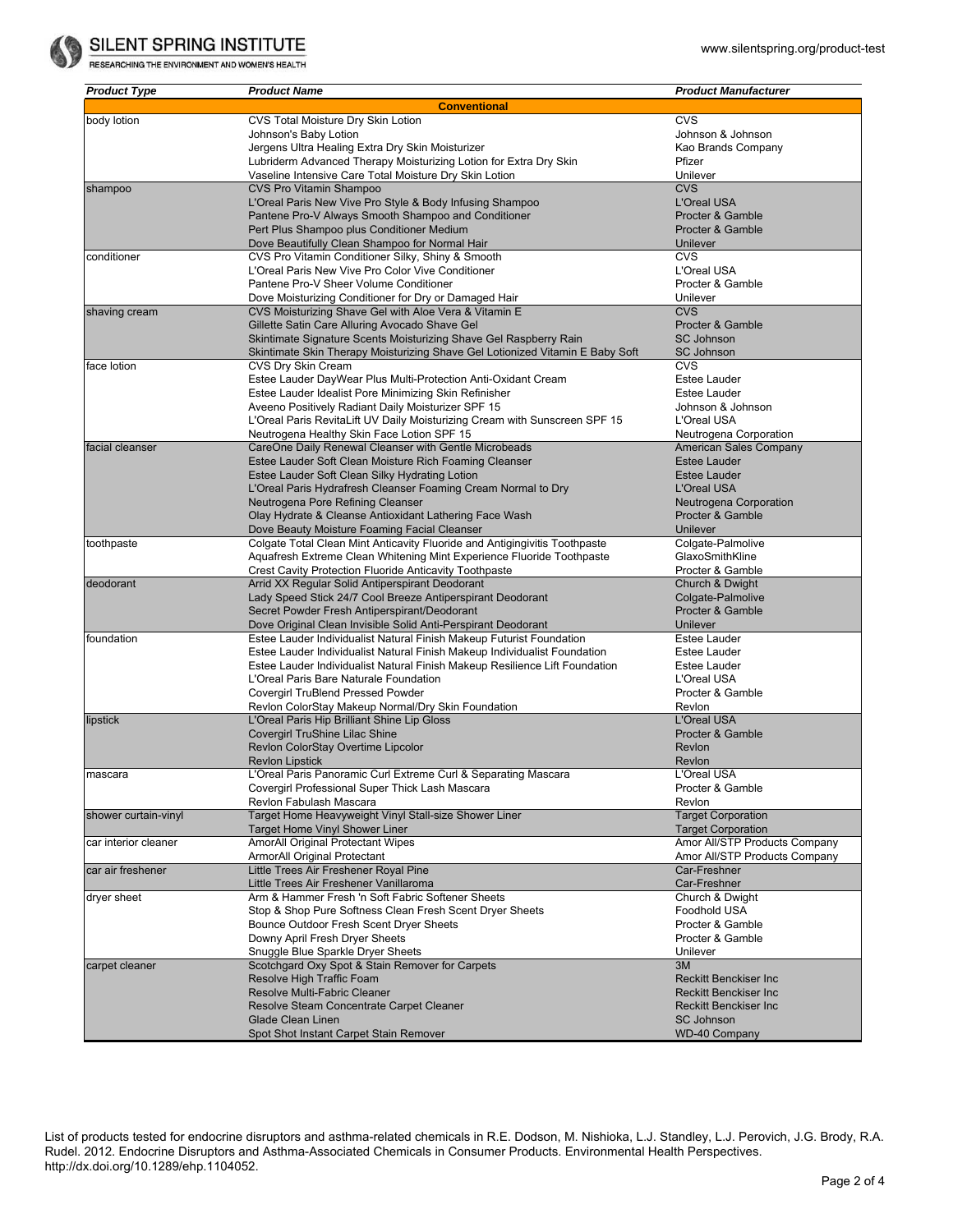

RESEARCHING THE ENVIRONMENT AND WOMEN'S HEALTH

| <b>Product Type</b>  | <b>Product Name</b>                                                                         | <b>Product Manufacturer</b>                                |
|----------------------|---------------------------------------------------------------------------------------------|------------------------------------------------------------|
|                      | <b>Conventional</b>                                                                         |                                                            |
| body lotion          | CVS Total Moisture Dry Skin Lotion                                                          | <b>CVS</b>                                                 |
|                      | Johnson's Baby Lotion                                                                       | Johnson & Johnson                                          |
|                      | Jergens Ultra Healing Extra Dry Skin Moisturizer                                            | Kao Brands Company                                         |
|                      | Lubriderm Advanced Therapy Moisturizing Lotion for Extra Dry Skin                           | Pfizer                                                     |
|                      | Vaseline Intensive Care Total Moisture Dry Skin Lotion                                      | Unilever                                                   |
| shampoo              | <b>CVS Pro Vitamin Shampoo</b>                                                              | <b>CVS</b>                                                 |
|                      | L'Oreal Paris New Vive Pro Style & Body Infusing Shampoo                                    | <b>L'Oreal USA</b>                                         |
|                      | Pantene Pro-V Always Smooth Shampoo and Conditioner                                         | Procter & Gamble                                           |
|                      | Pert Plus Shampoo plus Conditioner Medium                                                   | Procter & Gamble                                           |
|                      | Dove Beautifully Clean Shampoo for Normal Hair                                              | Unilever                                                   |
| conditioner          | CVS Pro Vitamin Conditioner Silky, Shiny & Smooth                                           | <b>CVS</b>                                                 |
|                      | L'Oreal Paris New Vive Pro Color Vive Conditioner                                           | L'Oreal USA                                                |
|                      | Pantene Pro-V Sheer Volume Conditioner                                                      | Procter & Gamble                                           |
|                      | Dove Moisturizing Conditioner for Dry or Damaged Hair                                       | Unilever                                                   |
| shaving cream        | CVS Moisturizing Shave Gel with Aloe Vera & Vitamin E                                       | <b>CVS</b>                                                 |
|                      | Gillette Satin Care Alluring Avocado Shave Gel                                              | Procter & Gamble                                           |
|                      | Skintimate Signature Scents Moisturizing Shave Gel Raspberry Rain                           | <b>SC Johnson</b>                                          |
|                      | Skintimate Skin Therapy Moisturizing Shave Gel Lotionized Vitamin E Baby Soft               | <b>SC Johnson</b>                                          |
| face lotion          | CVS Dry Skin Cream                                                                          | <b>CVS</b>                                                 |
|                      | Estee Lauder DayWear Plus Multi-Protection Anti-Oxidant Cream                               | Estee Lauder                                               |
|                      | Estee Lauder Idealist Pore Minimizing Skin Refinisher                                       | <b>Estee Lauder</b>                                        |
|                      | Aveeno Positively Radiant Daily Moisturizer SPF 15                                          | Johnson & Johnson                                          |
|                      | L'Oreal Paris RevitaLift UV Daily Moisturizing Cream with Sunscreen SPF 15                  | L'Oreal USA                                                |
|                      | Neutrogena Healthy Skin Face Lotion SPF 15                                                  | Neutrogena Corporation                                     |
| facial cleanser      | CareOne Daily Renewal Cleanser with Gentle Microbeads                                       | American Sales Company                                     |
|                      | Estee Lauder Soft Clean Moisture Rich Foaming Cleanser                                      | <b>Estee Lauder</b>                                        |
|                      | Estee Lauder Soft Clean Silky Hydrating Lotion                                              | <b>Estee Lauder</b><br><b>L'Oreal USA</b>                  |
|                      | L'Oreal Paris Hydrafresh Cleanser Foaming Cream Normal to Dry                               |                                                            |
|                      | Neutrogena Pore Refining Cleanser<br>Olay Hydrate & Cleanse Antioxidant Lathering Face Wash | Neutrogena Corporation<br>Procter & Gamble                 |
|                      | Dove Beauty Moisture Foaming Facial Cleanser                                                | Unilever                                                   |
| toothpaste           | Colgate Total Clean Mint Anticavity Fluoride and Antigingivitis Toothpaste                  | Colgate-Palmolive                                          |
|                      | Aquafresh Extreme Clean Whitening Mint Experience Fluoride Toothpaste                       | GlaxoSmithKline                                            |
|                      | <b>Crest Cavity Protection Fluoride Anticavity Toothpaste</b>                               | Procter & Gamble                                           |
| deodorant            | Arrid XX Regular Solid Antiperspirant Deodorant                                             | Church & Dwight                                            |
|                      | Lady Speed Stick 24/7 Cool Breeze Antiperspirant Deodorant                                  | Colgate-Palmolive                                          |
|                      | Secret Powder Fresh Antiperspirant/Deodorant                                                | Procter & Gamble                                           |
|                      | Dove Original Clean Invisible Solid Anti-Perspirant Deodorant                               | Unilever                                                   |
| foundation           | Estee Lauder Individualist Natural Finish Makeup Futurist Foundation                        | <b>Estee Lauder</b>                                        |
|                      | Estee Lauder Individualist Natural Finish Makeup Individualist Foundation                   | Estee Lauder                                               |
|                      | Estee Lauder Individualist Natural Finish Makeup Resilience Lift Foundation                 | Estee Lauder                                               |
|                      | L'Oreal Paris Bare Naturale Foundation                                                      | L'Oreal USA                                                |
|                      | <b>Covergirl TruBlend Pressed Powder</b>                                                    | Procter & Gamble                                           |
|                      | Revlon ColorStay Makeup Normal/Dry Skin Foundation                                          | Revion                                                     |
| lipstick             | L'Oreal Paris Hip Brilliant Shine Lip Gloss                                                 | L'Oreal USA                                                |
|                      | Covergirl TruShine Lilac Shine                                                              | Procter & Gamble                                           |
|                      | Revlon ColorStay Overtime Lipcolor                                                          | Revion                                                     |
|                      | <b>Revlon Lipstick</b>                                                                      | Revlon                                                     |
| mascara              | L'Oreal Paris Panoramic Curl Extreme Curl & Separating Mascara                              | L'Oreal USA                                                |
|                      | Covergirl Professional Super Thick Lash Mascara                                             | Procter & Gamble                                           |
|                      | Revlon Fabulash Mascara                                                                     | Revlon                                                     |
| shower curtain-vinyl | Target Home Heavyweight Vinyl Stall-size Shower Liner                                       | <b>Target Corporation</b>                                  |
|                      | Target Home Vinyl Shower Liner<br><b>AmorAll Original Protectant Wipes</b>                  | <b>Target Corporation</b><br>Amor All/STP Products Company |
| car interior cleaner | ArmorAll Original Protectant                                                                | Amor All/STP Products Company                              |
| car air freshener    | Little Trees Air Freshener Royal Pine                                                       | Car-Freshner                                               |
|                      | Little Trees Air Freshener Vanillaroma                                                      | Car-Freshner                                               |
| dryer sheet          | Arm & Hammer Fresh 'n Soft Fabric Softener Sheets                                           | Church & Dwight                                            |
|                      | Stop & Shop Pure Softness Clean Fresh Scent Dryer Sheets                                    | Foodhold USA                                               |
|                      | Bounce Outdoor Fresh Scent Dryer Sheets                                                     | Procter & Gamble                                           |
|                      | Downy April Fresh Dryer Sheets                                                              | Procter & Gamble                                           |
|                      | Snuggle Blue Sparkle Dryer Sheets                                                           | Unilever                                                   |
| carpet cleaner       | Scotchgard Oxy Spot & Stain Remover for Carpets                                             | 3M                                                         |
|                      | Resolve High Traffic Foam                                                                   | <b>Reckitt Benckiser Inc.</b>                              |
|                      | Resolve Multi-Fabric Cleaner                                                                | <b>Reckitt Benckiser Inc.</b>                              |
|                      | Resolve Steam Concentrate Carpet Cleaner                                                    | <b>Reckitt Benckiser Inc.</b>                              |
|                      | <b>Glade Clean Linen</b>                                                                    | <b>SC Johnson</b>                                          |
|                      | Spot Shot Instant Carpet Stain Remover                                                      | <b>WD-40 Company</b>                                       |

List of products tested for endocrine disruptors and asthma-related chemicals in R.E. Dodson, M. Nishioka, L.J. Standley, L.J. Perovich, J.G. Brody, R.A. Rudel. 2012. Endocrine Disruptors and Asthma-Associated Chemicals in Consumer Products. Environmental Health Perspectives. [http://dx.doi.org/10.1289/ehp.1104052.](http://dx.doi.org/10.1289/ehp.1104052)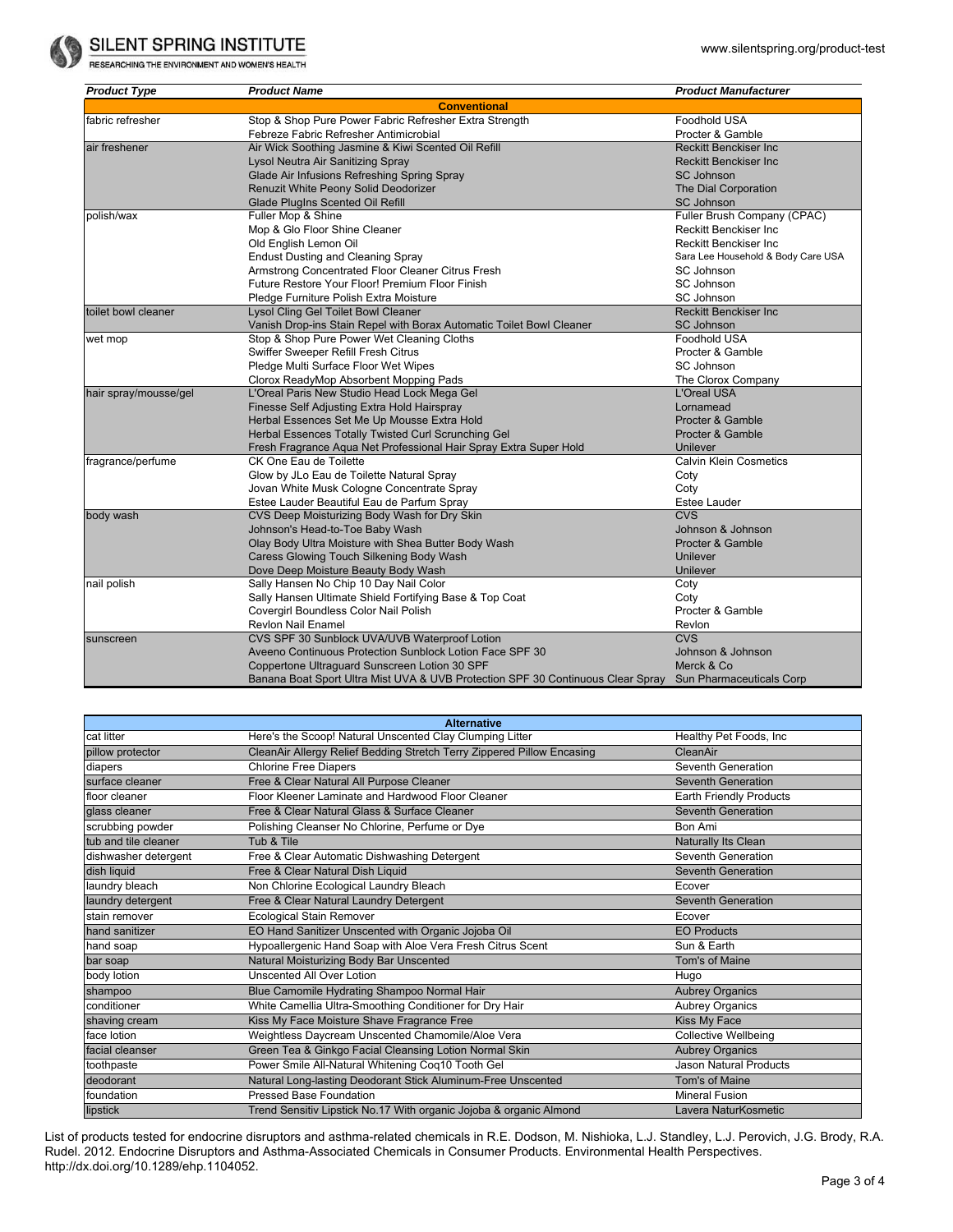

RESEARCHING THE ENVIRONMENT AND WOMEN'S HEALTH

| <b>Product Type</b>   | <b>Product Name</b>                                                             | <b>Product Manufacturer</b>        |  |  |
|-----------------------|---------------------------------------------------------------------------------|------------------------------------|--|--|
| <b>Conventional</b>   |                                                                                 |                                    |  |  |
| fabric refresher      | Stop & Shop Pure Power Fabric Refresher Extra Strength                          | Foodhold USA                       |  |  |
|                       | Febreze Fabric Refresher Antimicrobial                                          | Procter & Gamble                   |  |  |
| air freshener         | Air Wick Soothing Jasmine & Kiwi Scented Oil Refill                             | <b>Reckitt Benckiser Inc.</b>      |  |  |
|                       | Lysol Neutra Air Sanitizing Spray                                               | <b>Reckitt Benckiser Inc.</b>      |  |  |
|                       | Glade Air Infusions Refreshing Spring Spray                                     | <b>SC Johnson</b>                  |  |  |
|                       | Renuzit White Peony Solid Deodorizer                                            | The Dial Corporation               |  |  |
|                       | Glade PlugIns Scented Oil Refill                                                | <b>SC Johnson</b>                  |  |  |
| polish/wax            | Fuller Mop & Shine                                                              | Fuller Brush Company (CPAC)        |  |  |
|                       | Mop & Glo Floor Shine Cleaner                                                   | <b>Reckitt Benckiser Inc.</b>      |  |  |
|                       | Old English Lemon Oil                                                           | <b>Reckitt Benckiser Inc.</b>      |  |  |
|                       | <b>Endust Dusting and Cleaning Spray</b>                                        | Sara Lee Household & Body Care USA |  |  |
|                       | Armstrong Concentrated Floor Cleaner Citrus Fresh                               | SC Johnson                         |  |  |
|                       | Future Restore Your Floor! Premium Floor Finish                                 | SC Johnson                         |  |  |
|                       | Pledge Furniture Polish Extra Moisture                                          | SC Johnson                         |  |  |
| toilet bowl cleaner   | Lysol Cling Gel Toilet Bowl Cleaner                                             | <b>Reckitt Benckiser Inc.</b>      |  |  |
|                       | Vanish Drop-ins Stain Repel with Borax Automatic Toilet Bowl Cleaner            | <b>SC Johnson</b>                  |  |  |
| wet mop               | Stop & Shop Pure Power Wet Cleaning Cloths                                      | Foodhold USA                       |  |  |
|                       | Swiffer Sweeper Refill Fresh Citrus                                             | Procter & Gamble                   |  |  |
|                       | Pledge Multi Surface Floor Wet Wipes                                            | SC Johnson                         |  |  |
|                       | Clorox ReadyMop Absorbent Mopping Pads                                          | The Clorox Company                 |  |  |
| hair spray/mousse/gel | L'Oreal Paris New Studio Head Lock Mega Gel                                     | <b>L'Oreal USA</b>                 |  |  |
|                       | Finesse Self Adjusting Extra Hold Hairspray                                     | Lornamead                          |  |  |
|                       | Herbal Essences Set Me Up Mousse Extra Hold                                     | Procter & Gamble                   |  |  |
|                       | Herbal Essences Totally Twisted Curl Scrunching Gel                             | Procter & Gamble                   |  |  |
|                       | Fresh Fragrance Aqua Net Professional Hair Spray Extra Super Hold               | Unilever                           |  |  |
| fragrance/perfume     | CK One Eau de Toilette                                                          | <b>Calvin Klein Cosmetics</b>      |  |  |
|                       | Glow by JLo Eau de Toilette Natural Spray                                       | Coty                               |  |  |
|                       | Jovan White Musk Cologne Concentrate Spray                                      | Coty                               |  |  |
|                       | Estee Lauder Beautiful Eau de Parfum Spray                                      | Estee Lauder                       |  |  |
| body wash             | CVS Deep Moisturizing Body Wash for Dry Skin                                    | <b>CVS</b>                         |  |  |
|                       | Johnson's Head-to-Toe Baby Wash                                                 | Johnson & Johnson                  |  |  |
|                       | Olay Body Ultra Moisture with Shea Butter Body Wash                             | Procter & Gamble                   |  |  |
|                       | Caress Glowing Touch Silkening Body Wash                                        | Unilever                           |  |  |
|                       | Dove Deep Moisture Beauty Body Wash                                             | Unilever                           |  |  |
| nail polish           | Sally Hansen No Chip 10 Day Nail Color                                          | Coty                               |  |  |
|                       | Sally Hansen Ultimate Shield Fortifying Base & Top Coat                         | Coty                               |  |  |
|                       | Covergirl Boundless Color Nail Polish                                           | Procter & Gamble                   |  |  |
|                       | Revlon Nail Enamel                                                              | Revlon                             |  |  |
| sunscreen             | CVS SPF 30 Sunblock UVA/UVB Waterproof Lotion                                   | <b>CVS</b>                         |  |  |
|                       | Aveeno Continuous Protection Sunblock Lotion Face SPF 30                        | Johnson & Johnson                  |  |  |
|                       | Coppertone Ultraguard Sunscreen Lotion 30 SPF                                   | Merck & Co                         |  |  |
|                       | Banana Boat Sport Ultra Mist UVA & UVB Protection SPF 30 Continuous Clear Spray | Sun Pharmaceuticals Corp           |  |  |

| <b>Alternative</b>   |                                                                        |                             |  |  |
|----------------------|------------------------------------------------------------------------|-----------------------------|--|--|
| cat litter           | Here's the Scoop! Natural Unscented Clay Clumping Litter               | Healthy Pet Foods, Inc.     |  |  |
| pillow protector     | CleanAir Allergy Relief Bedding Stretch Terry Zippered Pillow Encasing | CleanAir                    |  |  |
| diapers              | <b>Chlorine Free Diapers</b>                                           | Seventh Generation          |  |  |
| surface cleaner      | Free & Clear Natural All Purpose Cleaner                               | Seventh Generation          |  |  |
| floor cleaner        | Floor Kleener Laminate and Hardwood Floor Cleaner                      | Earth Friendly Products     |  |  |
| glass cleaner        | Free & Clear Natural Glass & Surface Cleaner                           | <b>Seventh Generation</b>   |  |  |
| scrubbing powder     | Polishing Cleanser No Chlorine, Perfume or Dye                         | Bon Ami                     |  |  |
| tub and tile cleaner | Tub & Tile                                                             | Naturally Its Clean         |  |  |
| dishwasher detergent | Free & Clear Automatic Dishwashing Detergent                           | Seventh Generation          |  |  |
| dish liquid          | Free & Clear Natural Dish Liquid                                       | Seventh Generation          |  |  |
| laundry bleach       | Non Chlorine Ecological Laundry Bleach                                 | Ecover                      |  |  |
| laundry detergent    | Free & Clear Natural Laundry Detergent                                 | Seventh Generation          |  |  |
| stain remover        | <b>Ecological Stain Remover</b>                                        | Ecover                      |  |  |
| hand sanitizer       | EO Hand Sanitizer Unscented with Organic Jojoba Oil                    | <b>EO Products</b>          |  |  |
| hand soap            | Hypoallergenic Hand Soap with Aloe Vera Fresh Citrus Scent             | Sun & Earth                 |  |  |
| bar soap             | Natural Moisturizing Body Bar Unscented                                | Tom's of Maine              |  |  |
| body lotion          | Unscented All Over Lotion                                              | Hugo                        |  |  |
| shampoo              | Blue Camomile Hydrating Shampoo Normal Hair                            | <b>Aubrey Organics</b>      |  |  |
| conditioner          | White Camellia Ultra-Smoothing Conditioner for Dry Hair                | Aubrey Organics             |  |  |
| shaving cream        | Kiss My Face Moisture Shave Fragrance Free                             | Kiss My Face                |  |  |
| face lotion          | Weightless Daycream Unscented Chamomile/Aloe Vera                      | <b>Collective Wellbeing</b> |  |  |
| facial cleanser      | Green Tea & Ginkgo Facial Cleansing Lotion Normal Skin                 | <b>Aubrey Organics</b>      |  |  |
| toothpaste           | Power Smile All-Natural Whitening Coq10 Tooth Gel                      | Jason Natural Products      |  |  |
| deodorant            | Natural Long-lasting Deodorant Stick Aluminum-Free Unscented           | Tom's of Maine              |  |  |
| foundation           | Pressed Base Foundation                                                | <b>Mineral Fusion</b>       |  |  |
| lipstick             | Trend Sensitiv Lipstick No.17 With organic Jojoba & organic Almond     | Lavera NaturKosmetic        |  |  |

List of products tested for endocrine disruptors and asthma-related chemicals in R.E. Dodson, M. Nishioka, L.J. Standley, L.J. Perovich, J.G. Brody, R.A. Rudel. 2012. Endocrine Disruptors and Asthma-Associated Chemicals in Consumer Products. Environmental Health Perspectives. [http://dx.doi.org/10.1289/ehp.1104052.](http://dx.doi.org/10.1289/ehp.1104052)